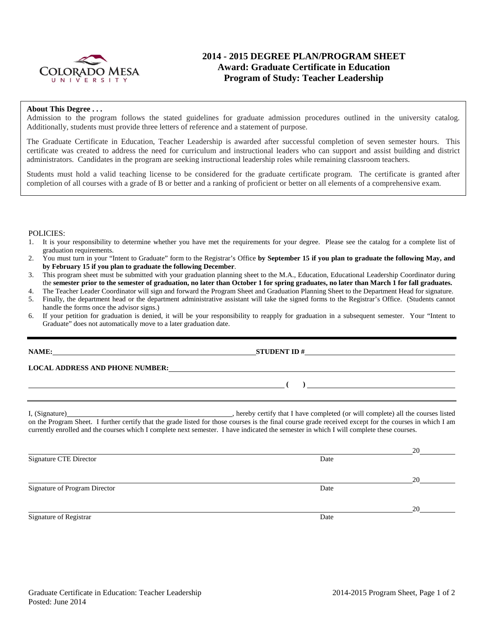

# **2014 - 2015 DEGREE PLAN/PROGRAM SHEET Award: Graduate Certificate in Education Program of Study: Teacher Leadership**

#### **About This Degree . . .**

Admission to the program follows the stated guidelines for graduate admission procedures outlined in the university catalog. Additionally, students must provide three letters of reference and a statement of purpose.

The Graduate Certificate in Education, Teacher Leadership is awarded after successful completion of seven semester hours. This certificate was created to address the need for curriculum and instructional leaders who can support and assist building and district administrators. Candidates in the program are seeking instructional leadership roles while remaining classroom teachers.

Students must hold a valid teaching license to be considered for the graduate certificate program. The certificate is granted after completion of all courses with a grade of B or better and a ranking of proficient or better on all elements of a comprehensive exam.

#### POLICIES:

- 1. It is your responsibility to determine whether you have met the requirements for your degree. Please see the catalog for a complete list of graduation requirements.
- 2. You must turn in your "Intent to Graduate" form to the Registrar's Office **by September 15 if you plan to graduate the following May, and by February 15 if you plan to graduate the following December**.
- 3. This program sheet must be submitted with your graduation planning sheet to the M.A., Education, Educational Leadership Coordinator during the **semester prior to the semester of graduation, no later than October 1 for spring graduates, no later than March 1 for fall graduates.**
- 4. The Teacher Leader Coordinator will sign and forward the Program Sheet and Graduation Planning Sheet to the Department Head for signature.
- 5. Finally, the department head or the department administrative assistant will take the signed forms to the Registrar's Office. (Students cannot handle the forms once the advisor signs.)
- 6. If your petition for graduation is denied, it will be your responsibility to reapply for graduation in a subsequent semester. Your "Intent to Graduate" does not automatically move to a later graduation date.

| NAME:                                                                                                                                                                                                                         |                                                                                                                                                                                                                                                                                                     |
|-------------------------------------------------------------------------------------------------------------------------------------------------------------------------------------------------------------------------------|-----------------------------------------------------------------------------------------------------------------------------------------------------------------------------------------------------------------------------------------------------------------------------------------------------|
| LOCAL ADDRESS AND PHONE NUMBER: University of the contract of the contract of the contract of the contract of the contract of the contract of the contract of the contract of the contract of the contract of the contract of |                                                                                                                                                                                                                                                                                                     |
|                                                                                                                                                                                                                               | $\left(\begin{array}{c}1\end{array}\right)$                                                                                                                                                                                                                                                         |
|                                                                                                                                                                                                                               |                                                                                                                                                                                                                                                                                                     |
|                                                                                                                                                                                                                               | on the Program Sheet. I further certify that the grade listed for those courses is the final course grade received except for the courses in which I am<br>currently enrolled and the courses which I complete next semester. I have indicated the semester in which I will complete these courses. |

|                               |      | 20 |
|-------------------------------|------|----|
| <b>Signature CTE Director</b> | Date |    |
|                               |      |    |
|                               |      | 20 |
| Signature of Program Director | Date |    |
|                               |      |    |
|                               |      | 20 |
| Signature of Registrar        | Date |    |